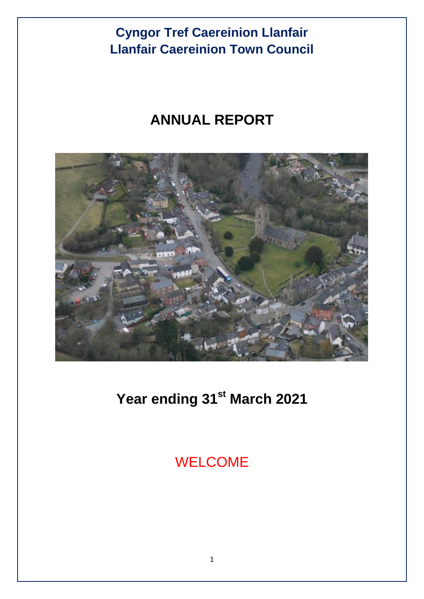# **ANNUAL REPORT**



# **Year ending 31st March 2021**

WELCOME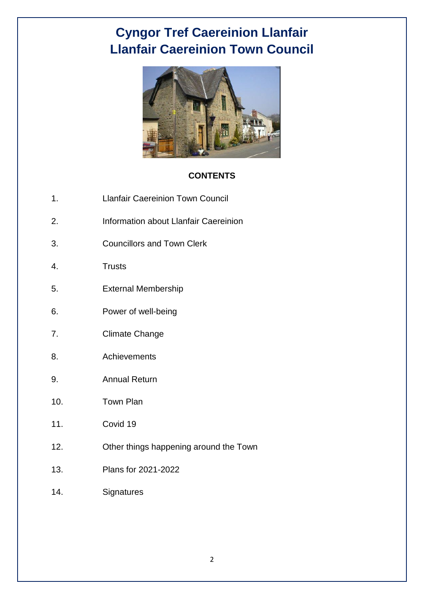

#### **CONTENTS**

- 1. Llanfair Caereinion Town Council
- 2. Information about Llanfair Caereinion
- 3. Councillors and Town Clerk
- 4. Trusts
- 5. External Membership
- 6. Power of well-being
- 7. Climate Change
- 8. Achievements
- 9. Annual Return
- 10. Town Plan
- 11. Covid 19
- 12. Other things happening around the Town
- 13. Plans for 2021-2022
- 14. Signatures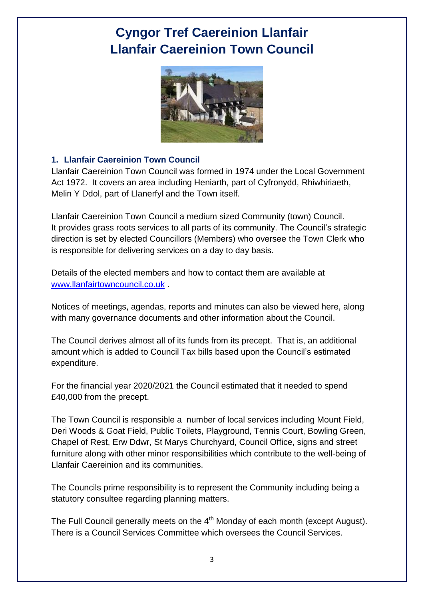

#### **1. Llanfair Caereinion Town Council**

Llanfair Caereinion Town Council was formed in 1974 under the Local Government Act 1972. It covers an area including Heniarth, part of Cyfronydd, Rhiwhiriaeth, Melin Y Ddol, part of Llanerfyl and the Town itself.

Llanfair Caereinion Town Council a medium sized Community (town) Council. It provides grass roots services to all parts of its community. The Council's strategic direction is set by elected Councillors (Members) who oversee the Town Clerk who is responsible for delivering services on a day to day basis.

Details of the elected members and how to contact them are available at [www.llanfairtowncouncil.co.uk](http://www.llanfairtowncouncil.co.uk/) .

Notices of meetings, agendas, reports and minutes can also be viewed here, along with many governance documents and other information about the Council.

The Council derives almost all of its funds from its precept. That is, an additional amount which is added to Council Tax bills based upon the Council's estimated expenditure.

For the financial year 2020/2021 the Council estimated that it needed to spend £40,000 from the precept.

The Town Council is responsible a number of local services including Mount Field, Deri Woods & Goat Field, Public Toilets, Playground, Tennis Court, Bowling Green, Chapel of Rest, Erw Ddwr, St Marys Churchyard, Council Office, signs and street furniture along with other minor responsibilities which contribute to the well-being of Llanfair Caereinion and its communities.

The Councils prime responsibility is to represent the Community including being a statutory consultee regarding planning matters.

The Full Council generally meets on the  $4<sup>th</sup>$  Monday of each month (except August). There is a Council Services Committee which oversees the Council Services.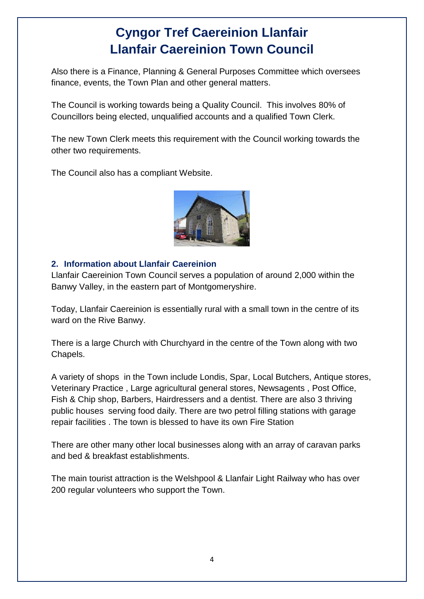Also there is a Finance, Planning & General Purposes Committee which oversees finance, events, the Town Plan and other general matters.

The Council is working towards being a Quality Council. This involves 80% of Councillors being elected, unqualified accounts and a qualified Town Clerk.

The new Town Clerk meets this requirement with the Council working towards the other two requirements.

The Council also has a compliant Website.



#### **2. Information about Llanfair Caereinion**

Llanfair Caereinion Town Council serves a population of around 2,000 within the Banwy Valley, in the eastern part of Montgomeryshire.

Today, Llanfair Caereinion is essentially rural with a small town in the centre of its ward on the Rive Banwy.

There is a large Church with Churchyard in the centre of the Town along with two Chapels.

A variety of shops in the Town include Londis, Spar, Local Butchers, Antique stores, Veterinary Practice , Large agricultural general stores, Newsagents , Post Office, Fish & Chip shop, Barbers, Hairdressers and a dentist. There are also 3 thriving public houses serving food daily. There are two petrol filling stations with garage repair facilities . The town is blessed to have its own Fire Station

There are other many other local businesses along with an array of caravan parks and bed & breakfast establishments.

The main tourist attraction is the Welshpool & Llanfair Light Railway who has over 200 regular volunteers who support the Town.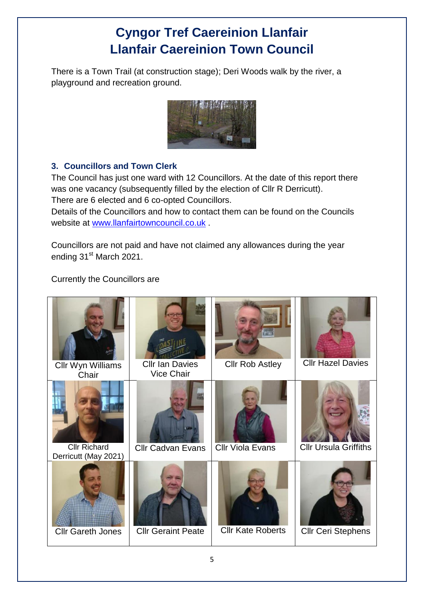There is a Town Trail (at construction stage); Deri Woods walk by the river, a playground and recreation ground.



### **3. Councillors and Town Clerk**

The Council has just one ward with 12 Councillors. At the date of this report there was one vacancy (subsequently filled by the election of Cllr R Derricutt). There are 6 elected and 6 co-opted Councillors.

Details of the Councillors and how to contact them can be found on the Councils website at [www.llanfairtowncouncil.co.uk](http://www.llanfairtowncouncil.co.uk/) .

Councillors are not paid and have not claimed any allowances during the year ending 31<sup>st</sup> March 2021.

Currently the Councillors are

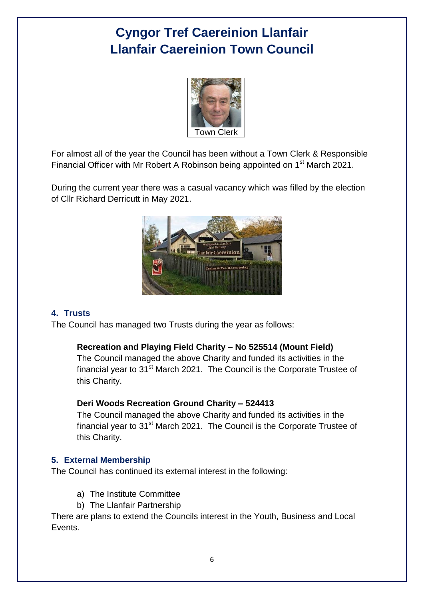

For almost all of the year the Council has been without a Town Clerk & Responsible Financial Officer with Mr Robert A Robinson being appointed on 1<sup>st</sup> March 2021.

During the current year there was a casual vacancy which was filled by the election of Cllr Richard Derricutt in May 2021.



#### **4. Trusts**

The Council has managed two Trusts during the year as follows:

#### **Recreation and Playing Field Charity – No 525514 (Mount Field)**

The Council managed the above Charity and funded its activities in the financial year to  $31<sup>st</sup>$  March 2021. The Council is the Corporate Trustee of this Charity.

#### **Deri Woods Recreation Ground Charity – 524413**

The Council managed the above Charity and funded its activities in the financial year to  $31<sup>st</sup>$  March 2021. The Council is the Corporate Trustee of this Charity.

#### **5. External Membership**

The Council has continued its external interest in the following:

- a) The Institute Committee
- b) The Llanfair Partnership

There are plans to extend the Councils interest in the Youth, Business and Local Events.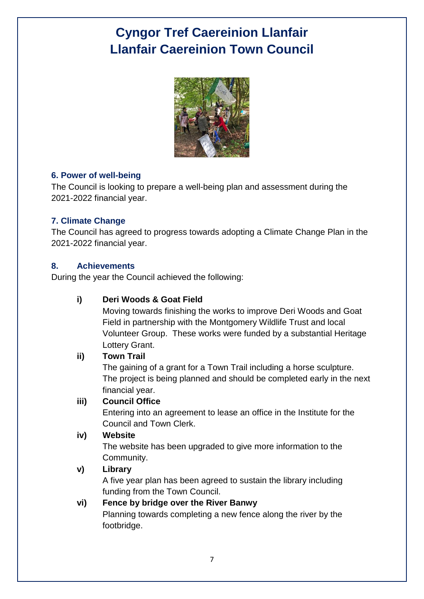

#### **6. Power of well-being**

The Council is looking to prepare a well-being plan and assessment during the 2021-2022 financial year.

### **7. Climate Change**

The Council has agreed to progress towards adopting a Climate Change Plan in the 2021-2022 financial year.

#### **8. Achievements**

During the year the Council achieved the following:

### **i) Deri Woods & Goat Field**

Moving towards finishing the works to improve Deri Woods and Goat Field in partnership with the Montgomery Wildlife Trust and local Volunteer Group. These works were funded by a substantial Heritage Lottery Grant.

#### **ii) Town Trail**

The gaining of a grant for a Town Trail including a horse sculpture. The project is being planned and should be completed early in the next financial year.

#### **iii) Council Office**

Entering into an agreement to lease an office in the Institute for the Council and Town Clerk.

#### **iv) Website**

The website has been upgraded to give more information to the Community.

### **v) Library**

A five year plan has been agreed to sustain the library including funding from the Town Council.

### **vi) Fence by bridge over the River Banwy**

Planning towards completing a new fence along the river by the footbridge.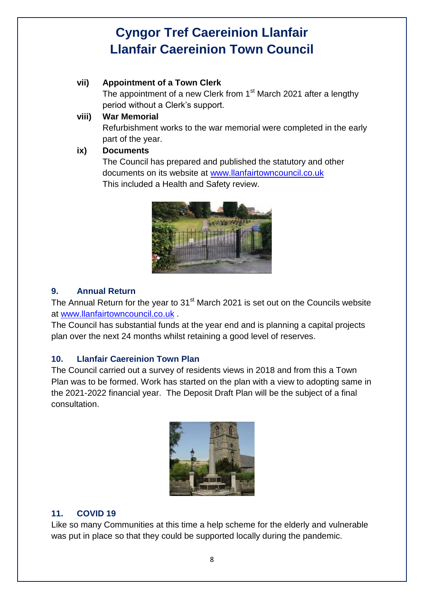### **vii) Appointment of a Town Clerk**

The appointment of a new Clerk from 1<sup>st</sup> March 2021 after a lengthy period without a Clerk's support.

#### **viii) War Memorial**

Refurbishment works to the war memorial were completed in the early part of the year.

#### **ix) Documents**

The Council has prepared and published the statutory and other documents on its website at [www.llanfairtowncouncil.co.uk](http://www.llanfairtowncouncil.co.uk/) This included a Health and Safety review.



### **9. Annual Return**

The Annual Return for the year to 31<sup>st</sup> March 2021 is set out on the Councils website at [www.llanfairtowncouncil.co.uk](http://www.llanfairtowncouncil.co.uk/) .

The Council has substantial funds at the year end and is planning a capital projects plan over the next 24 months whilst retaining a good level of reserves.

### **10. Llanfair Caereinion Town Plan**

The Council carried out a survey of residents views in 2018 and from this a Town Plan was to be formed. Work has started on the plan with a view to adopting same in the 2021-2022 financial year. The Deposit Draft Plan will be the subject of a final consultation.



### **11. COVID 19**

Like so many Communities at this time a help scheme for the elderly and vulnerable was put in place so that they could be supported locally during the pandemic.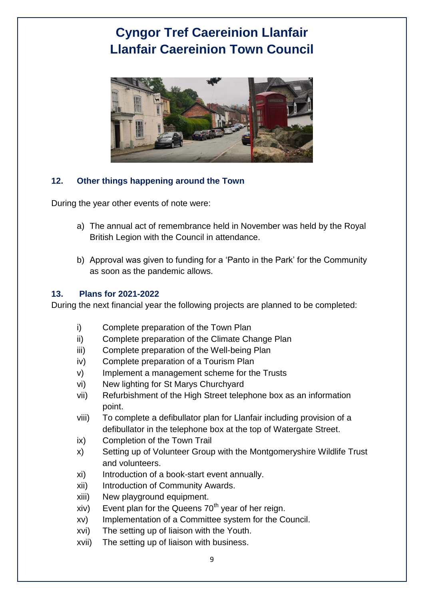

#### **12. Other things happening around the Town**

During the year other events of note were:

- a) The annual act of remembrance held in November was held by the Royal British Legion with the Council in attendance.
- b) Approval was given to funding for a 'Panto in the Park' for the Community as soon as the pandemic allows.

#### **13. Plans for 2021-2022**

During the next financial year the following projects are planned to be completed:

- i) Complete preparation of the Town Plan
- ii) Complete preparation of the Climate Change Plan
- iii) Complete preparation of the Well-being Plan
- iv) Complete preparation of a Tourism Plan
- v) Implement a management scheme for the Trusts
- vi) New lighting for St Marys Churchyard
- vii) Refurbishment of the High Street telephone box as an information point.
- viii) To complete a defibullator plan for Llanfair including provision of a defibullator in the telephone box at the top of Watergate Street.
- ix) Completion of the Town Trail
- x) Setting up of Volunteer Group with the Montgomeryshire Wildlife Trust and volunteers.
- xi) Introduction of a book-start event annually.
- xii) Introduction of Community Awards.
- xiii) New playground equipment.
- $xiv)$  Event plan for the Queens 70<sup>th</sup> year of her reign.
- xv) Implementation of a Committee system for the Council.
- xvi) The setting up of liaison with the Youth.
- xvii) The setting up of liaison with business.